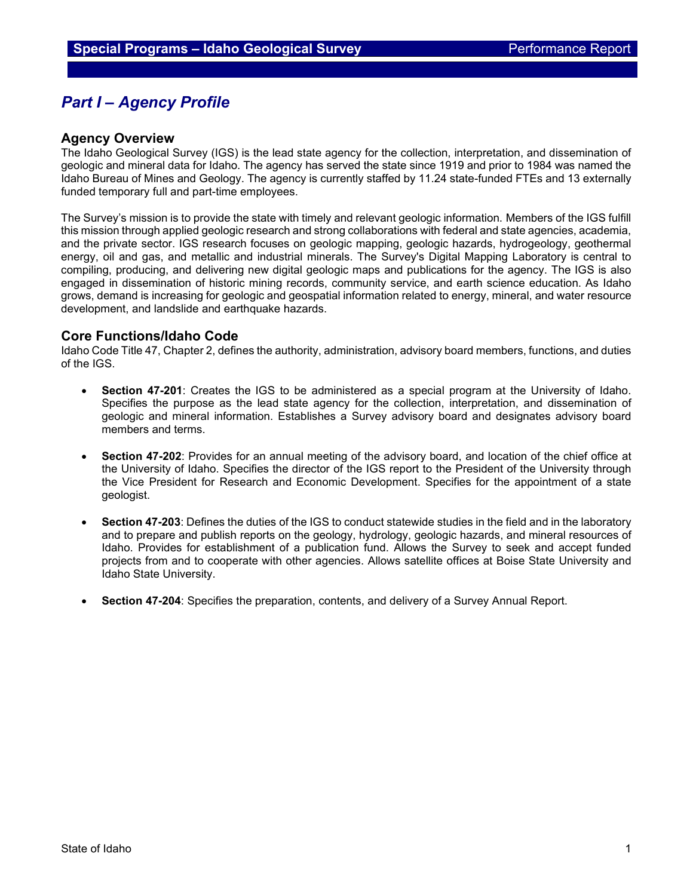# *Part I – Agency Profile*

## **Agency Overview**

The Idaho Geological Survey (IGS) is the lead state agency for the collection, interpretation, and dissemination of geologic and mineral data for Idaho. The agency has served the state since 1919 and prior to 1984 was named the Idaho Bureau of Mines and Geology. The agency is currently staffed by 11.24 state-funded FTEs and 13 externally funded temporary full and part-time employees.

The Survey's mission is to provide the state with timely and relevant geologic information. Members of the IGS fulfill this mission through applied geologic research and strong collaborations with federal and state agencies, academia, and the private sector. IGS research focuses on geologic mapping, geologic hazards, hydrogeology, geothermal energy, oil and gas, and metallic and industrial minerals. The Survey's Digital Mapping Laboratory is central to compiling, producing, and delivering new digital geologic maps and publications for the agency. The IGS is also engaged in dissemination of historic mining records, community service, and earth science education. As Idaho grows, demand is increasing for geologic and geospatial information related to energy, mineral, and water resource development, and landslide and earthquake hazards.

#### **Core Functions/Idaho Code**

Idaho Code Title 47, Chapter 2, defines the authority, administration, advisory board members, functions, and duties of the IGS.

- **Section 47-201**: Creates the IGS to be administered as a special program at the University of Idaho. Specifies the purpose as the lead state agency for the collection, interpretation, and dissemination of geologic and mineral information. Establishes a Survey advisory board and designates advisory board members and terms.
- **Section 47-202**: Provides for an annual meeting of the advisory board, and location of the chief office at the University of Idaho. Specifies the director of the IGS report to the President of the University through the Vice President for Research and Economic Development. Specifies for the appointment of a state geologist.
- **Section 47-203**: Defines the duties of the IGS to conduct statewide studies in the field and in the laboratory and to prepare and publish reports on the geology, hydrology, geologic hazards, and mineral resources of Idaho. Provides for establishment of a publication fund. Allows the Survey to seek and accept funded projects from and to cooperate with other agencies. Allows satellite offices at Boise State University and Idaho State University.
- **Section 47-204**: Specifies the preparation, contents, and delivery of a Survey Annual Report.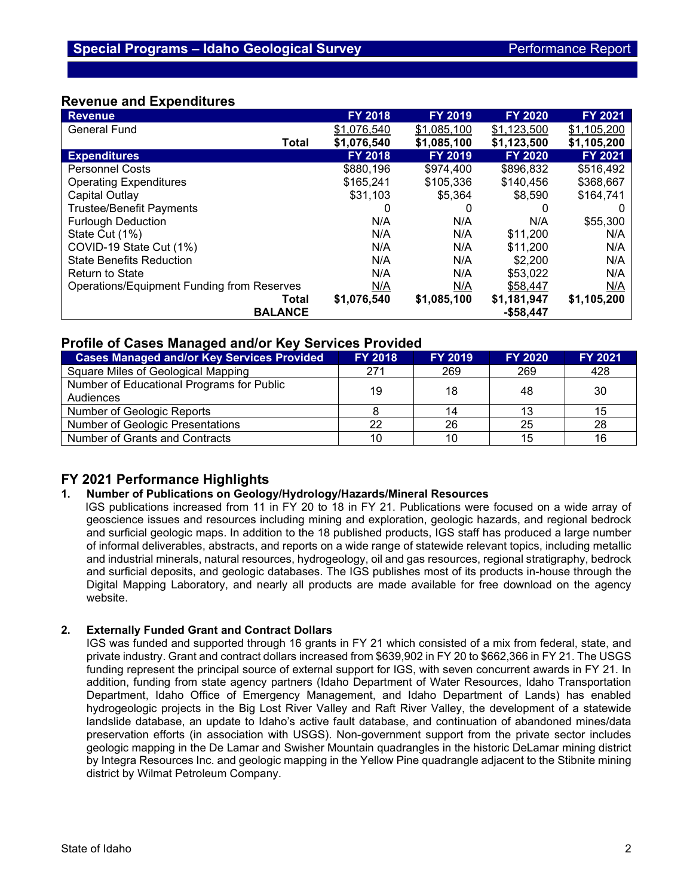# **Revenue and Expenditures**

| <b>Revenue</b>                             | <b>FY 2018</b> | <b>FY 2019</b> | <b>FY 2020</b> | <b>FY 2021</b> |
|--------------------------------------------|----------------|----------------|----------------|----------------|
| General Fund                               | \$1,076,540    | \$1,085,100    | \$1,123,500    | \$1,105,200    |
| <b>Total</b>                               | \$1,076,540    | \$1,085,100    | \$1,123,500    | \$1,105,200    |
| <b>Expenditures</b>                        | <b>FY 2018</b> | <b>FY 2019</b> | <b>FY 2020</b> | FY 2021        |
| <b>Personnel Costs</b>                     | \$880,196      | \$974.400      | \$896,832      | \$516,492      |
| <b>Operating Expenditures</b>              | \$165,241      | \$105,336      | \$140,456      | \$368,667      |
| Capital Outlay                             | \$31,103       | \$5,364        | \$8.590        | \$164,741      |
| <b>Trustee/Benefit Payments</b>            | 0              |                |                | $\Omega$       |
| <b>Furlough Deduction</b>                  | N/A            | N/A            | N/A            | \$55,300       |
| State Cut (1%)                             | N/A            | N/A            | \$11,200       | N/A            |
| COVID-19 State Cut (1%)                    | N/A            | N/A            | \$11.200       | N/A            |
| <b>State Benefits Reduction</b>            | N/A            | N/A            | \$2,200        | N/A            |
| <b>Return to State</b>                     | N/A            | N/A            | \$53,022       | N/A            |
| Operations/Equipment Funding from Reserves | N/A            | N/A            | \$58,447       | N/A            |
| Total                                      | \$1,076,540    | \$1,085,100    | \$1,181,947    | \$1,105,200    |
| <b>BALANCE</b>                             |                |                | $-$58,447$     |                |

## **Profile of Cases Managed and/or Key Services Provided**

| <b>Cases Managed and/or Key Services Provided</b> | <b>FY 2018</b> | <b>FY 2019</b> | <b>FY 2020</b> | <b>FY 2021</b> |
|---------------------------------------------------|----------------|----------------|----------------|----------------|
| Square Miles of Geological Mapping                | 271            | 269            | 269            | 428            |
| Number of Educational Programs for Public         | 19             | 18             | 48             | 30             |
| Audiences                                         |                |                |                |                |
| Number of Geologic Reports                        |                | 14             | 13             | 15             |
| <b>Number of Geologic Presentations</b>           | 22             | 26             | 25             | 28             |
| Number of Grants and Contracts                    | 10             | 10             | 15             | 16             |

# **FY 2021 Performance Highlights**

#### **1. Number of Publications on Geology/Hydrology/Hazards/Mineral Resources**

IGS publications increased from 11 in FY 20 to 18 in FY 21. Publications were focused on a wide array of geoscience issues and resources including mining and exploration, geologic hazards, and regional bedrock and surficial geologic maps. In addition to the 18 published products, IGS staff has produced a large number of informal deliverables, abstracts, and reports on a wide range of statewide relevant topics, including metallic and industrial minerals, natural resources, hydrogeology, oil and gas resources, regional stratigraphy, bedrock and surficial deposits, and geologic databases. The IGS publishes most of its products in-house through the Digital Mapping Laboratory, and nearly all products are made available for free download on the agency website.

#### **2. Externally Funded Grant and Contract Dollars**

IGS was funded and supported through 16 grants in FY 21 which consisted of a mix from federal, state, and private industry. Grant and contract dollars increased from \$639,902 in FY 20 to \$662,366 in FY 21. The USGS funding represent the principal source of external support for IGS, with seven concurrent awards in FY 21. In addition, funding from state agency partners (Idaho Department of Water Resources, Idaho Transportation Department, Idaho Office of Emergency Management, and Idaho Department of Lands) has enabled hydrogeologic projects in the Big Lost River Valley and Raft River Valley, the development of a statewide landslide database, an update to Idaho's active fault database, and continuation of abandoned mines/data preservation efforts (in association with USGS). Non-government support from the private sector includes geologic mapping in the De Lamar and Swisher Mountain quadrangles in the historic DeLamar mining district by Integra Resources Inc. and geologic mapping in the Yellow Pine quadrangle adjacent to the Stibnite mining district by Wilmat Petroleum Company.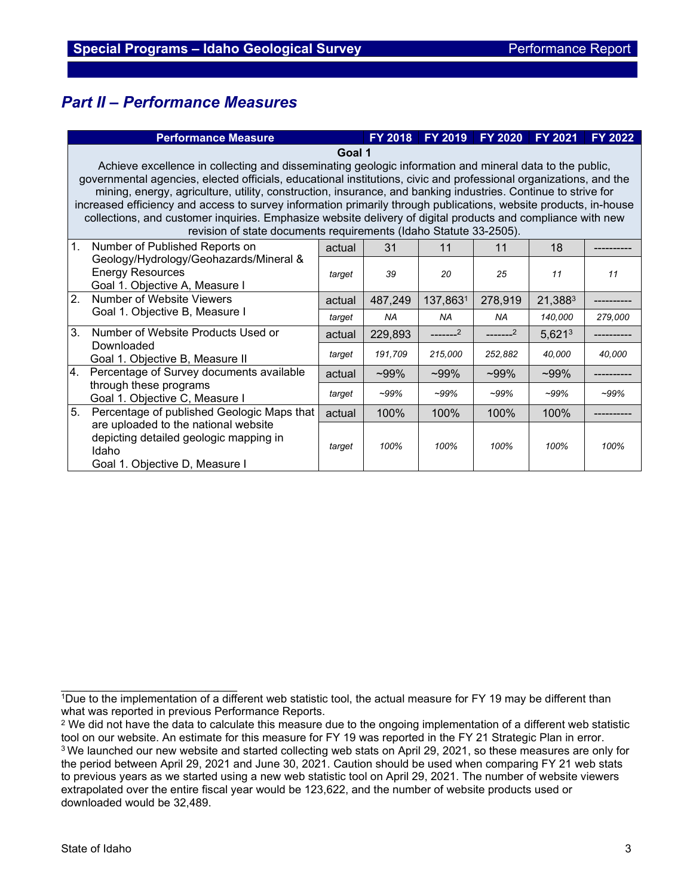# *Part II – Performance Measures*

|                                                                                                                                 | <b>Performance Measure</b>                                                                                                                                                                                                   |        | <b>FY 2018</b> | FY 2019   | FY 2020   | FY 2021   | FY 2022 |  |
|---------------------------------------------------------------------------------------------------------------------------------|------------------------------------------------------------------------------------------------------------------------------------------------------------------------------------------------------------------------------|--------|----------------|-----------|-----------|-----------|---------|--|
|                                                                                                                                 | Goal 1                                                                                                                                                                                                                       |        |                |           |           |           |         |  |
|                                                                                                                                 | Achieve excellence in collecting and disseminating geologic information and mineral data to the public,<br>governmental agencies, elected officials, educational institutions, civic and professional organizations, and the |        |                |           |           |           |         |  |
|                                                                                                                                 | mining, energy, agriculture, utility, construction, insurance, and banking industries. Continue to strive for                                                                                                                |        |                |           |           |           |         |  |
|                                                                                                                                 | increased efficiency and access to survey information primarily through publications, website products, in-house                                                                                                             |        |                |           |           |           |         |  |
|                                                                                                                                 | collections, and customer inquiries. Emphasize website delivery of digital products and compliance with new<br>revision of state documents requirements (Idaho Statute 33-2505).                                             |        |                |           |           |           |         |  |
| 1.                                                                                                                              | Number of Published Reports on                                                                                                                                                                                               | actual | 31             | 11        | 11        | 18        |         |  |
|                                                                                                                                 | Geology/Hydrology/Geohazards/Mineral &<br><b>Energy Resources</b><br>Goal 1. Objective A, Measure I                                                                                                                          | target | 39             | 20        | 25        | 11        | 11      |  |
|                                                                                                                                 |                                                                                                                                                                                                                              |        |                |           |           |           |         |  |
| $\mathcal{P}$                                                                                                                   | Number of Website Viewers<br>Goal 1. Objective B, Measure I                                                                                                                                                                  | actual | 487,249        | 137,8631  | 278,919   | 21,3883   |         |  |
|                                                                                                                                 |                                                                                                                                                                                                                              | target | <b>NA</b>      | <b>NA</b> | <b>NA</b> | 140,000   | 279,000 |  |
| 3.                                                                                                                              | Number of Website Products Used or<br>Downloaded<br>Goal 1. Objective B, Measure II                                                                                                                                          | actual | 229,893        | $-----2$  | _______2  | $5,621^3$ |         |  |
|                                                                                                                                 |                                                                                                                                                                                                                              | target | 191,709        | 215,000   | 252,882   | 40,000    | 40,000  |  |
| 4.                                                                                                                              | Percentage of Survey documents available                                                                                                                                                                                     | actual | $-99\%$        | $~109\%$  | $~109\%$  | $~109\%$  |         |  |
| through these programs<br>Goal 1. Objective C, Measure I                                                                        | target                                                                                                                                                                                                                       | $-99%$ | $-99%$         | $-99%$    | $-99\%$   | $-99%$    |         |  |
| 5.<br>are uploaded to the national website<br>depicting detailed geologic mapping in<br>Idaho<br>Goal 1. Objective D, Measure I | Percentage of published Geologic Maps that                                                                                                                                                                                   | actual | 100%           | 100%      | 100%      | 100%      |         |  |
|                                                                                                                                 | target                                                                                                                                                                                                                       | 100%   | 100%           | 100%      | 100%      | 100%      |         |  |

\_\_\_\_\_\_\_\_\_\_\_\_\_\_\_\_\_\_\_\_\_\_\_\_\_\_\_\_ 1Due to the implementation of a different web statistic tool, the actual measure for FY 19 may be different than what was reported in previous Performance Reports.

<sup>&</sup>lt;sup>2</sup> We did not have the data to calculate this measure due to the ongoing implementation of a different web statistic tool on our website. An estimate for this measure for FY 19 was reported in the FY 21 Strategic Plan in error. <sup>3</sup> We launched our new website and started collecting web stats on April 29, 2021, so these measures are only for the period between April 29, 2021 and June 30, 2021. Caution should be used when comparing FY 21 web stats to previous years as we started using a new web statistic tool on April 29, 2021. The number of website viewers extrapolated over the entire fiscal year would be 123,622, and the number of website products used or downloaded would be 32,489.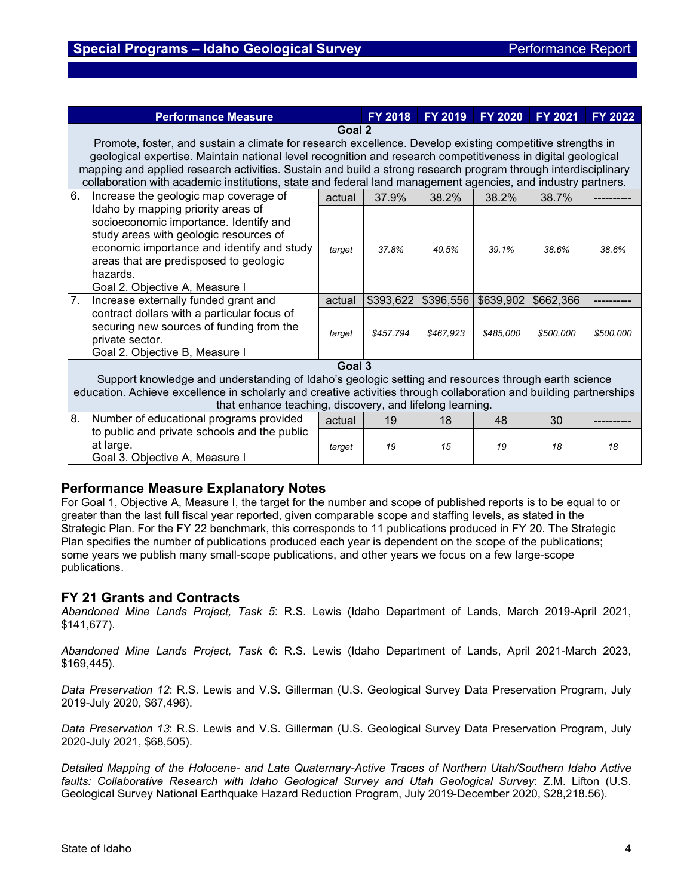| <b>Performance Measure</b>                                                                                         |        | <b>FY 2018</b> | FY 2019   | FY 2020   | FY 2021   | <b>FY 2022</b> |  |  |
|--------------------------------------------------------------------------------------------------------------------|--------|----------------|-----------|-----------|-----------|----------------|--|--|
| Goal 2                                                                                                             |        |                |           |           |           |                |  |  |
| Promote, foster, and sustain a climate for research excellence. Develop existing competitive strengths in          |        |                |           |           |           |                |  |  |
| geological expertise. Maintain national level recognition and research competitiveness in digital geological       |        |                |           |           |           |                |  |  |
| mapping and applied research activities. Sustain and build a strong research program through interdisciplinary     |        |                |           |           |           |                |  |  |
| collaboration with academic institutions, state and federal land management agencies, and industry partners.       |        |                |           |           |           |                |  |  |
| 6.<br>Increase the geologic map coverage of                                                                        | actual | 37.9%          | 38.2%     | 38.2%     | 38.7%     |                |  |  |
| Idaho by mapping priority areas of                                                                                 |        |                |           |           |           |                |  |  |
| socioeconomic importance. Identify and                                                                             |        |                |           |           |           |                |  |  |
| study areas with geologic resources of                                                                             |        |                |           |           |           |                |  |  |
| economic importance and identify and study                                                                         | target | 37.8%          | 40.5%     | 39.1%     | 38.6%     | 38.6%          |  |  |
| areas that are predisposed to geologic                                                                             |        |                |           |           |           |                |  |  |
| hazards.                                                                                                           |        |                |           |           |           |                |  |  |
| Goal 2. Objective A, Measure I                                                                                     |        |                |           |           |           |                |  |  |
| 7.<br>Increase externally funded grant and                                                                         | actual | \$393,622      | \$396,556 | \$639,902 | \$662,366 |                |  |  |
| contract dollars with a particular focus of                                                                        |        |                |           |           |           |                |  |  |
| securing new sources of funding from the                                                                           | target | \$457,794      | \$467,923 | \$485,000 | \$500,000 | \$500,000      |  |  |
| private sector.                                                                                                    |        |                |           |           |           |                |  |  |
| Goal 2. Objective B, Measure I                                                                                     |        |                |           |           |           |                |  |  |
| Goal 3                                                                                                             |        |                |           |           |           |                |  |  |
| Support knowledge and understanding of Idaho's geologic setting and resources through earth science                |        |                |           |           |           |                |  |  |
| education. Achieve excellence in scholarly and creative activities through collaboration and building partnerships |        |                |           |           |           |                |  |  |
| that enhance teaching, discovery, and lifelong learning.                                                           |        |                |           |           |           |                |  |  |
| 8.<br>Number of educational programs provided                                                                      | actual | 19             | 18        | 48        | 30        |                |  |  |
| to public and private schools and the public                                                                       |        |                |           |           |           |                |  |  |
| at large.                                                                                                          | target | 19             | 15        | 19        | 18        | 18             |  |  |
| Goal 3. Objective A, Measure I                                                                                     |        |                |           |           |           |                |  |  |

# **Performance Measure Explanatory Notes**

For Goal 1, Objective A, Measure I, the target for the number and scope of published reports is to be equal to or greater than the last full fiscal year reported, given comparable scope and staffing levels, as stated in the Strategic Plan. For the FY 22 benchmark, this corresponds to 11 publications produced in FY 20. The Strategic Plan specifies the number of publications produced each year is dependent on the scope of the publications; some years we publish many small-scope publications, and other years we focus on a few large-scope publications.

#### **FY 21 Grants and Contracts**

*Abandoned Mine Lands Project, Task 5*: R.S. Lewis (Idaho Department of Lands, March 2019-April 2021, \$141,677).

*Abandoned Mine Lands Project, Task 6*: R.S. Lewis (Idaho Department of Lands, April 2021-March 2023, \$169,445).

*Data Preservation 12*: R.S. Lewis and V.S. Gillerman (U.S. Geological Survey Data Preservation Program, July 2019-July 2020, \$67,496).

*Data Preservation 13*: R.S. Lewis and V.S. Gillerman (U.S. Geological Survey Data Preservation Program, July 2020-July 2021, \$68,505).

*Detailed Mapping of the Holocene- and Late Quaternary-Active Traces of Northern Utah/Southern Idaho Active faults: Collaborative Research with Idaho Geological Survey and Utah Geological Survey*: Z.M. Lifton (U.S. Geological Survey National Earthquake Hazard Reduction Program, July 2019-December 2020, \$28,218.56).